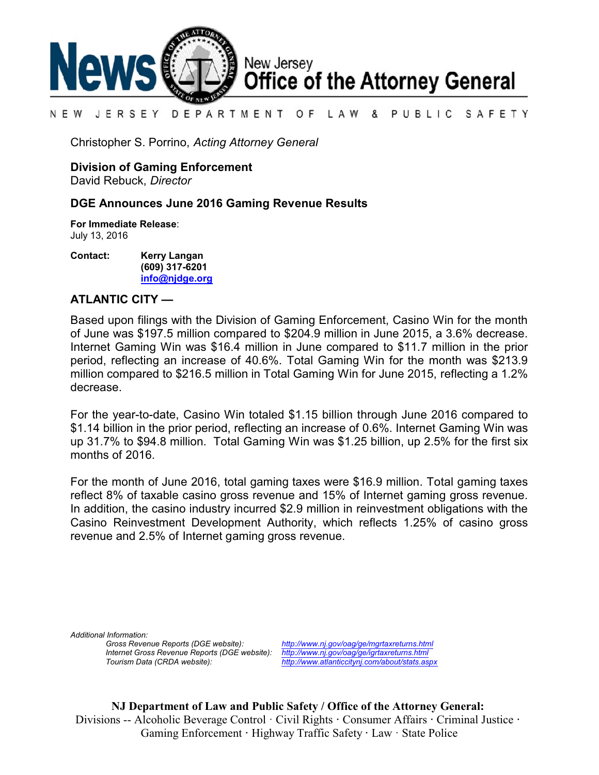

#### DEPARTMENT OF LAW & PUBLIC SAFETY N E W JERSEY

Christopher S. Porrino, *Acting Attorney General*

**Division of Gaming Enforcement**

David Rebuck, *Director*

## **DGE Announces June 2016 Gaming Revenue Results**

**For Immediate Release**: July 13, 2016

**Contact: Kerry Langan (609) 317-6201 [info@njdge.org](file:///|//info@njdge.org)**

## **ATLANTIC CITY —**

Based upon filings with the Division of Gaming Enforcement, Casino Win for the month of June was \$197.5 million compared to \$204.9 million in June 2015, a 3.6% decrease. Internet Gaming Win was \$16.4 million in June compared to \$11.7 million in the prior period, reflecting an increase of 40.6%. Total Gaming Win for the month was \$213.9 million compared to \$216.5 million in Total Gaming Win for June 2015, reflecting a 1.2% decrease.

For the year-to-date, Casino Win totaled \$1.15 billion through June 2016 compared to \$1.14 billion in the prior period, reflecting an increase of 0.6%. Internet Gaming Win was up 31.7% to \$94.8 million. Total Gaming Win was \$1.25 billion, up 2.5% for the first six months of 2016.

For the month of June 2016, total gaming taxes were \$16.9 million. Total gaming taxes reflect 8% of taxable casino gross revenue and 15% of Internet gaming gross revenue. In addition, the casino industry incurred \$2.9 million in reinvestment obligations with the Casino Reinvestment Development Authority, which reflects 1.25% of casino gross revenue and 2.5% of Internet gaming gross revenue.

*Additional Information: Internet Gross Revenue Reports (DGE website): <http://www.nj.gov/oag/ge/igrtaxreturns.html>*

*Gross Revenue Reports (DGE website): <http://www.nj.gov/oag/ge/mgrtaxreturns.html> Tourism Data (CRDA website): <http://www.atlanticcitynj.com/about/stats.aspx>*

**NJ Department of Law and Public Safety / Office of the Attorney General:** Divisions -- Alcoholic Beverage Control · Civil Rights **·** Consumer Affairs **·** Criminal Justice **·**  Gaming Enforcement **·** Highway Traffic Safety **·** Law · State Police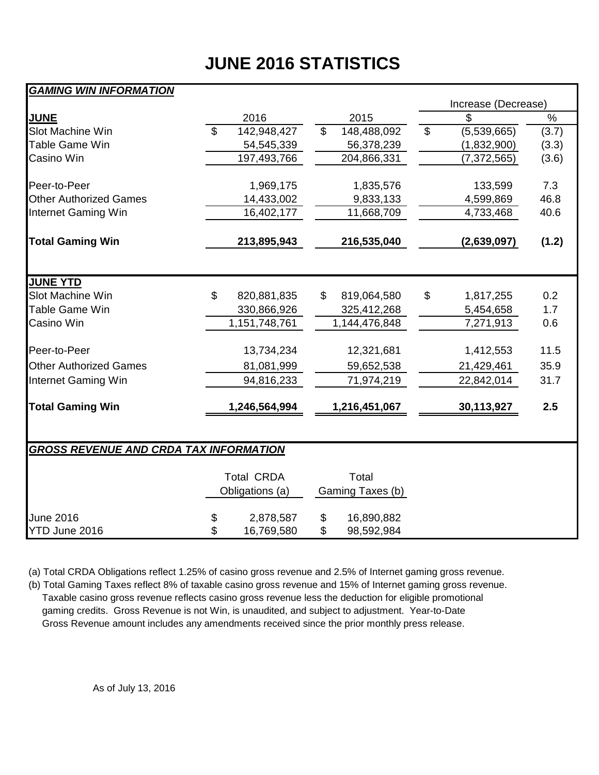# **JUNE 2016 STATISTICS**

## *GAMING WIN INFORMATION*

|                                               |                |                   |                |                  |               | Increase (Decrease) |               |  |  |  |
|-----------------------------------------------|----------------|-------------------|----------------|------------------|---------------|---------------------|---------------|--|--|--|
| <b>JUNE</b>                                   |                | 2016              |                | 2015             |               | \$                  | $\frac{1}{2}$ |  |  |  |
| Slot Machine Win                              | $\mathfrak{L}$ | 142,948,427       | $\mathfrak{L}$ | 148,488,092      | $\mathcal{L}$ | (5,539,665)         | (3.7)         |  |  |  |
| <b>Table Game Win</b>                         |                | 54,545,339        |                | 56,378,239       |               | (1,832,900)         | (3.3)         |  |  |  |
| Casino Win                                    |                | 197,493,766       |                | 204,866,331      |               | (7, 372, 565)       | (3.6)         |  |  |  |
| Peer-to-Peer                                  |                | 1,969,175         |                | 1,835,576        |               | 133,599             | 7.3           |  |  |  |
| <b>Other Authorized Games</b>                 |                | 14,433,002        |                | 9,833,133        |               | 4,599,869           | 46.8          |  |  |  |
| Internet Gaming Win                           |                | 16,402,177        |                | 11,668,709       |               | 4,733,468           | 40.6          |  |  |  |
| <b>Total Gaming Win</b>                       |                | 213,895,943       |                | 216,535,040      |               | (2,639,097)         | (1.2)         |  |  |  |
|                                               |                |                   |                |                  |               |                     |               |  |  |  |
| <b>JUNE YTD</b>                               |                |                   |                |                  |               |                     |               |  |  |  |
| Slot Machine Win                              | \$             | 820,881,835       | \$             | 819,064,580      | \$            | 1,817,255           | 0.2           |  |  |  |
| <b>Table Game Win</b>                         |                | 330,866,926       |                | 325,412,268      |               | 5,454,658           | 1.7           |  |  |  |
| Casino Win                                    |                | 1,151,748,761     |                | 1,144,476,848    |               | 7,271,913           | 0.6           |  |  |  |
| Peer-to-Peer                                  |                | 13,734,234        |                | 12,321,681       |               | 1,412,553           | 11.5          |  |  |  |
| <b>Other Authorized Games</b>                 |                | 81,081,999        |                | 59,652,538       |               | 21,429,461          | 35.9          |  |  |  |
| Internet Gaming Win                           |                | 94,816,233        |                | 71,974,219       |               | 22,842,014          | 31.7          |  |  |  |
| <b>Total Gaming Win</b>                       |                | 1,246,564,994     |                | 1,216,451,067    |               | 30,113,927          | 2.5           |  |  |  |
|                                               |                |                   |                |                  |               |                     |               |  |  |  |
| <b>GROSS REVENUE AND CRDA TAX INFORMATION</b> |                |                   |                |                  |               |                     |               |  |  |  |
|                                               |                | <b>Total CRDA</b> |                | Total            |               |                     |               |  |  |  |
|                                               |                | Obligations (a)   |                | Gaming Taxes (b) |               |                     |               |  |  |  |
| June 2016                                     | \$             | 2,878,587         | \$             | 16,890,882       |               |                     |               |  |  |  |
| YTD June 2016                                 | \$             | 16,769,580        | \$             | 98,592,984       |               |                     |               |  |  |  |

(a) Total CRDA Obligations reflect 1.25% of casino gross revenue and 2.5% of Internet gaming gross revenue.

(b) Total Gaming Taxes reflect 8% of taxable casino gross revenue and 15% of Internet gaming gross revenue. Taxable casino gross revenue reflects casino gross revenue less the deduction for eligible promotional gaming credits. Gross Revenue is not Win, is unaudited, and subject to adjustment. Year-to-Date Gross Revenue amount includes any amendments received since the prior monthly press release.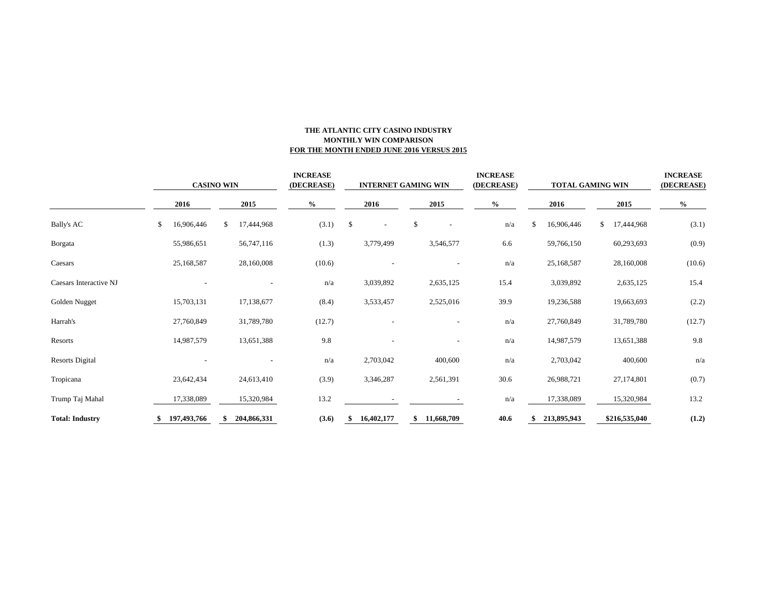### **THE ATLANTIC CITY CASINO INDUSTRY MONTHLY WIN COMPARISON FOR THE MONTH ENDED JUNE 2016 VERSUS 2015**

|                        | <b>CASINO WIN</b> |             |    | <b>INCREASE</b><br>(DECREASE) |      | <b>INTERNET GAMING WIN</b> |    |                          |    | <b>INCREASE</b><br>(DECREASE) |      | <b>TOTAL GAMING WIN</b> |  |             | <b>INCREASE</b><br>(DECREASE) |               |        |
|------------------------|-------------------|-------------|----|-------------------------------|------|----------------------------|----|--------------------------|----|-------------------------------|------|-------------------------|--|-------------|-------------------------------|---------------|--------|
|                        |                   | 2016        |    | 2015                          | $\%$ |                            |    | 2016                     |    | 2015                          | $\%$ |                         |  | 2016        |                               | 2015          | $\%$   |
| <b>Bally's AC</b>      | \$                | 16,906,446  | \$ | 17,444,968                    |      | (3.1)                      | \$ | $\overline{\phantom{a}}$ | \$ |                               |      | n/a                     |  | 16,906,446  | \$                            | 17,444,968    | (3.1)  |
| Borgata                |                   | 55,986,651  |    | 56,747,116                    |      | (1.3)                      |    | 3,779,499                |    | 3,546,577                     |      | 6.6                     |  | 59,766,150  |                               | 60,293,693    | (0.9)  |
| Caesars                |                   | 25,168,587  |    | 28,160,008                    |      | (10.6)                     |    |                          |    |                               |      | n/a                     |  | 25,168,587  |                               | 28,160,008    | (10.6) |
| Caesars Interactive NJ |                   |             |    |                               |      | n/a                        |    | 3,039,892                |    | 2,635,125                     |      | 15.4                    |  | 3,039,892   |                               | 2,635,125     | 15.4   |
| Golden Nugget          |                   | 15,703,131  |    | 17,138,677                    |      | (8.4)                      |    | 3,533,457                |    | 2,525,016                     |      | 39.9                    |  | 19,236,588  |                               | 19,663,693    | (2.2)  |
| Harrah's               |                   | 27,760,849  |    | 31,789,780                    |      | (12.7)                     |    |                          |    |                               |      | n/a                     |  | 27,760,849  |                               | 31,789,780    | (12.7) |
| Resorts                |                   | 14,987,579  |    | 13,651,388                    |      | 9.8                        |    |                          |    |                               |      | n/a                     |  | 14,987,579  |                               | 13,651,388    | 9.8    |
| <b>Resorts Digital</b> |                   |             |    |                               |      | n/a                        |    | 2,703,042                |    | 400,600                       |      | n/a                     |  | 2,703,042   |                               | 400,600       | n/a    |
| Tropicana              |                   | 23,642,434  |    | 24,613,410                    |      | (3.9)                      |    | 3,346,287                |    | 2,561,391                     |      | 30.6                    |  | 26,988,721  |                               | 27,174,801    | (0.7)  |
| Trump Taj Mahal        |                   | 17,338,089  |    | 15,320,984                    |      | 13.2                       |    |                          |    |                               |      | n/a                     |  | 17,338,089  |                               | 15,320,984    | 13.2   |
| <b>Total: Industry</b> | ж                 | 197,493,766 |    | 204,866,331                   |      | (3.6)                      | S, | 16,402,177               | \$ | 11,668,709                    |      | 40.6                    |  | 213,895,943 |                               | \$216,535,040 | (1.2)  |